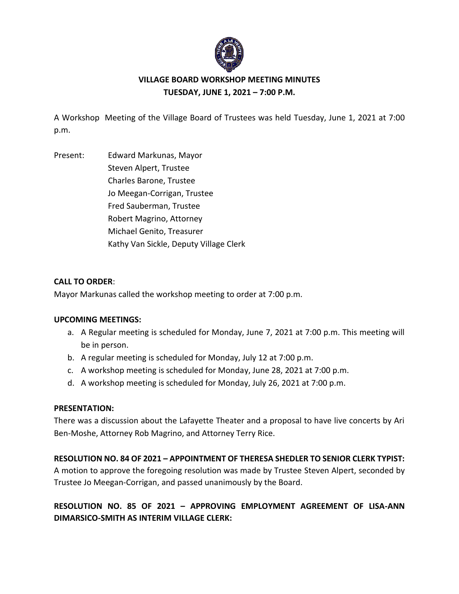

# **VILLAGE BOARD WORKSHOP MEETING MINUTES TUESDAY, JUNE 1, 2021 – 7:00 P.M.**

A Workshop Meeting of the Village Board of Trustees was held Tuesday, June 1, 2021 at 7:00 p.m.

Present: Edward Markunas, Mayor Steven Alpert, Trustee Charles Barone, Trustee Jo Meegan-Corrigan, Trustee Fred Sauberman, Trustee Robert Magrino, Attorney Michael Genito, Treasurer Kathy Van Sickle, Deputy Village Clerk

### **CALL TO ORDER**:

Mayor Markunas called the workshop meeting to order at 7:00 p.m.

#### **UPCOMING MEETINGS:**

- a. A Regular meeting is scheduled for Monday, June 7, 2021 at 7:00 p.m. This meeting will be in person.
- b. A regular meeting is scheduled for Monday, July 12 at 7:00 p.m.
- c. A workshop meeting is scheduled for Monday, June 28, 2021 at 7:00 p.m.
- d. A workshop meeting is scheduled for Monday, July 26, 2021 at 7:00 p.m.

#### **PRESENTATION:**

There was a discussion about the Lafayette Theater and a proposal to have live concerts by Ari Ben-Moshe, Attorney Rob Magrino, and Attorney Terry Rice.

## **RESOLUTION NO. 84 OF 2021 – APPOINTMENT OF THERESA SHEDLER TO SENIOR CLERK TYPIST:**

A motion to approve the foregoing resolution was made by Trustee Steven Alpert, seconded by Trustee Jo Meegan-Corrigan, and passed unanimously by the Board.

# **RESOLUTION NO. 85 OF 2021 – APPROVING EMPLOYMENT AGREEMENT OF LISA-ANN DIMARSICO-SMITH AS INTERIM VILLAGE CLERK:**